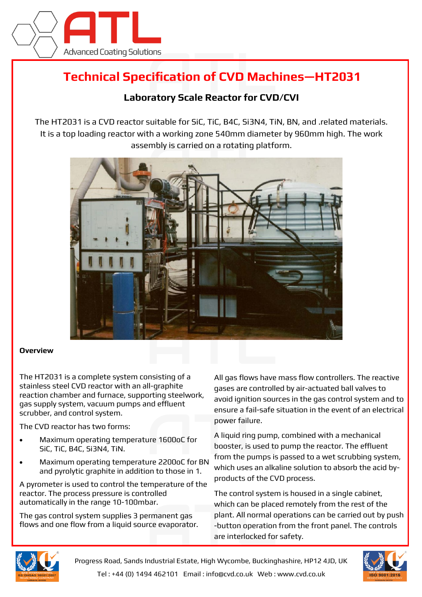

## **Technical Specification of CVD Machines—HT2031**

## **Laboratory Scale Reactor for CVD/CVI**

The HT2031 is a CVD reactor suitable for SiC, TiC, B4C, Si3N4, TiN, BN, and .related materials. It is a top loading reactor with a working zone 540mm diameter by 960mm high. The work assembly is carried on a rotating platform.



## **Overview**

The HT2031 is a complete system consisting of a stainless steel CVD reactor with an all-graphite reaction chamber and furnace, supporting steelwork, gas supply system, vacuum pumps and effluent scrubber, and control system.

The CVD reactor has two forms:

- Maximum operating temperature 1600oC for SiC, TiC, B4C, Si3N4, TiN.
- Maximum operating temperature 2200oC for BN and pyrolytic graphite in addition to those in 1.

A pyrometer is used to control the temperature of the reactor. The process pressure is controlled automatically in the range 10-100mbar.

The gas control system supplies 3 permanent gas flows and one flow from a liquid source evaporator. All gas flows have mass flow controllers. The reactive gases are controlled by air-actuated ball valves to avoid ignition sources in the gas control system and to ensure a fail-safe situation in the event of an electrical power failure.

A liquid ring pump, combined with a mechanical booster, is used to pump the reactor. The effluent from the pumps is passed to a wet scrubbing system, which uses an alkaline solution to absorb the acid byproducts of the CVD process.

The control system is housed in a single cabinet, which can be placed remotely from the rest of the plant. All normal operations can be carried out by push -button operation from the front panel. The controls are interlocked for safety.



Progress Road, Sands Industrial Estate, High Wycombe, Buckinghashire, HP12 4JD, UK Tel : +44 (0) 1494 462101 Email : info@cvd.co.uk Web : www.cvd.co.uk